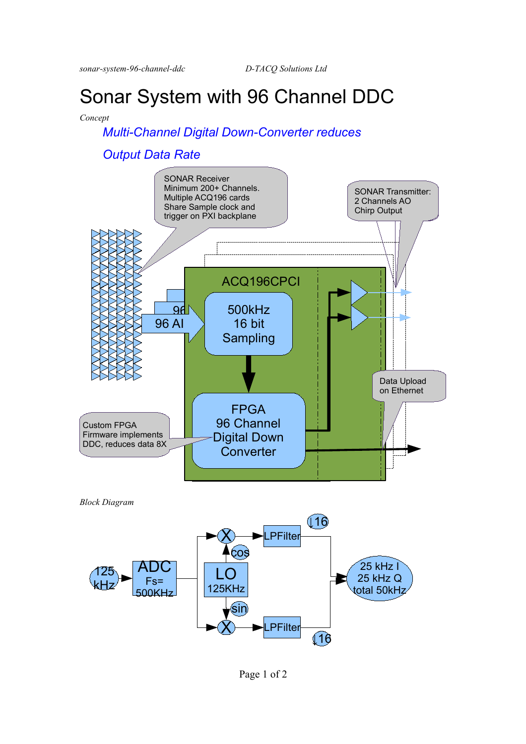*sonar-system-96-channel-ddc D-TACQ Solutions Ltd* 

# Sonar System with 96 Channel DDC

#### *Concept*

## *Multi-Channel Digital Down-Converter reduces*

## *Output Data Rate*





Page 1 of 2